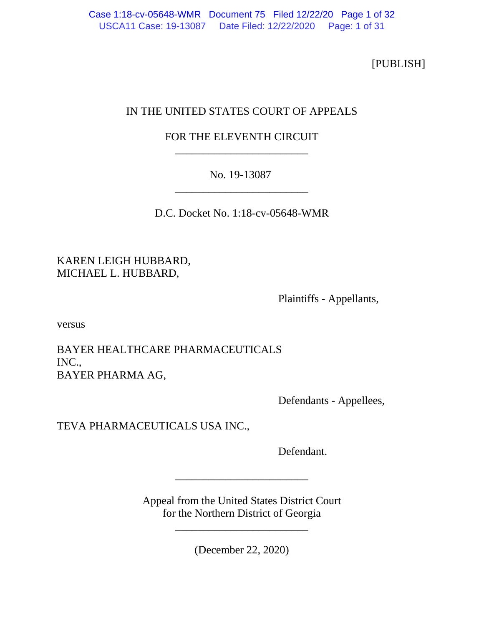[PUBLISH]

# IN THE UNITED STATES COURT OF APPEALS

# FOR THE ELEVENTH CIRCUIT \_\_\_\_\_\_\_\_\_\_\_\_\_\_\_\_\_\_\_\_\_\_\_\_

# No. 19-13087 \_\_\_\_\_\_\_\_\_\_\_\_\_\_\_\_\_\_\_\_\_\_\_\_

D.C. Docket No. 1:18-cv-05648-WMR

KAREN LEIGH HUBBARD, MICHAEL L. HUBBARD,

Plaintiffs - Appellants,

versus

BAYER HEALTHCARE PHARMACEUTICALS INC., BAYER PHARMA AG,

Defendants - Appellees,

TEVA PHARMACEUTICALS USA INC.,

Defendant.

Appeal from the United States District Court for the Northern District of Georgia

\_\_\_\_\_\_\_\_\_\_\_\_\_\_\_\_\_\_\_\_\_\_\_\_

\_\_\_\_\_\_\_\_\_\_\_\_\_\_\_\_\_\_\_\_\_\_\_\_

(December 22, 2020)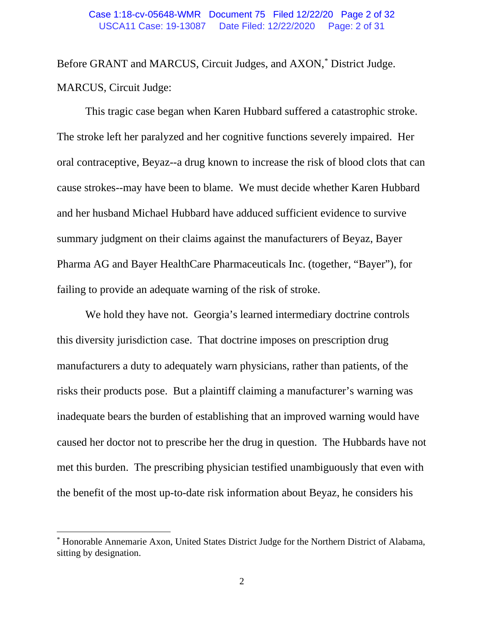#### USCA11 Case: 19-13087 Date Filed: 12/22/2020 Page: 2 of 31 Case 1:18-cv-05648-WMR Document 75 Filed 12/22/20 Page 2 of 32

Before GRANT and MARCUS, Circuit Judges, and AXON,[\\*](#page-22-0) District Judge. MARCUS, Circuit Judge:

This tragic case began when Karen Hubbard suffered a catastrophic stroke. The stroke left her paralyzed and her cognitive functions severely impaired. Her oral contraceptive, Beyaz--a drug known to increase the risk of blood clots that can cause strokes--may have been to blame. We must decide whether Karen Hubbard and her husband Michael Hubbard have adduced sufficient evidence to survive summary judgment on their claims against the manufacturers of Beyaz, Bayer Pharma AG and Bayer HealthCare Pharmaceuticals Inc. (together, "Bayer"), for failing to provide an adequate warning of the risk of stroke.

We hold they have not. Georgia's learned intermediary doctrine controls this diversity jurisdiction case. That doctrine imposes on prescription drug manufacturers a duty to adequately warn physicians, rather than patients, of the risks their products pose. But a plaintiff claiming a manufacturer's warning was inadequate bears the burden of establishing that an improved warning would have caused her doctor not to prescribe her the drug in question. The Hubbards have not met this burden. The prescribing physician testified unambiguously that even with the benefit of the most up-to-date risk information about Beyaz, he considers his

<sup>\*</sup> Honorable Annemarie Axon, United States District Judge for the Northern District of Alabama, sitting by designation.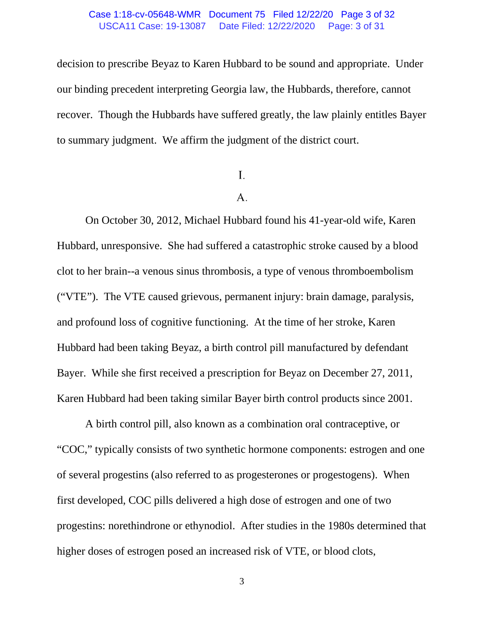#### USCA11 Case: 19-13087 Date Filed: 12/22/2020 Page: 3 of 31 Case 1:18-cv-05648-WMR Document 75 Filed 12/22/20 Page 3 of 32

decision to prescribe Beyaz to Karen Hubbard to be sound and appropriate. Under our binding precedent interpreting Georgia law, the Hubbards, therefore, cannot recover. Though the Hubbards have suffered greatly, the law plainly entitles Bayer to summary judgment. We affirm the judgment of the district court.

## I.

### A.

On October 30, 2012, Michael Hubbard found his 41-year-old wife, Karen Hubbard, unresponsive. She had suffered a catastrophic stroke caused by a blood clot to her brain--a venous sinus thrombosis, a type of venous thromboembolism ("VTE"). The VTE caused grievous, permanent injury: brain damage, paralysis, and profound loss of cognitive functioning. At the time of her stroke, Karen Hubbard had been taking Beyaz, a birth control pill manufactured by defendant Bayer. While she first received a prescription for Beyaz on December 27, 2011, Karen Hubbard had been taking similar Bayer birth control products since 2001.

A birth control pill, also known as a combination oral contraceptive, or "COC," typically consists of two synthetic hormone components: estrogen and one of several progestins (also referred to as progesterones or progestogens). When first developed, COC pills delivered a high dose of estrogen and one of two progestins: norethindrone or ethynodiol. After studies in the 1980s determined that higher doses of estrogen posed an increased risk of VTE, or blood clots,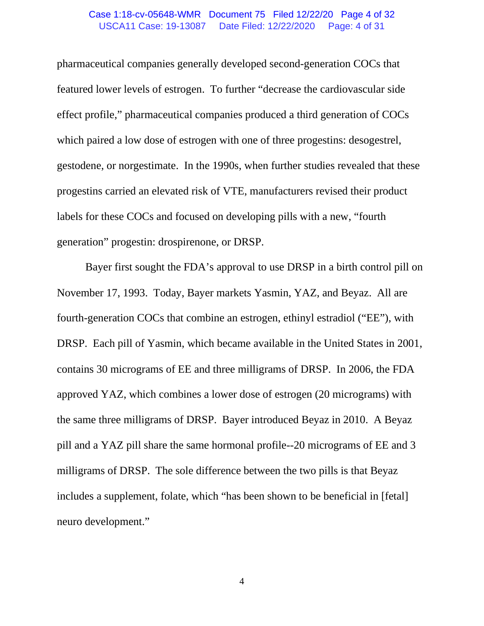#### USCA11 Case: 19-13087 Date Filed: 12/22/2020 Page: 4 of 31 Case 1:18-cv-05648-WMR Document 75 Filed 12/22/20 Page 4 of 32

pharmaceutical companies generally developed second-generation COCs that featured lower levels of estrogen. To further "decrease the cardiovascular side effect profile," pharmaceutical companies produced a third generation of COCs which paired a low dose of estrogen with one of three progestins: desogestrel, gestodene, or norgestimate. In the 1990s, when further studies revealed that these progestins carried an elevated risk of VTE, manufacturers revised their product labels for these COCs and focused on developing pills with a new, "fourth generation" progestin: drospirenone, or DRSP.

Bayer first sought the FDA's approval to use DRSP in a birth control pill on November 17, 1993. Today, Bayer markets Yasmin, YAZ, and Beyaz. All are fourth-generation COCs that combine an estrogen, ethinyl estradiol ("EE"), with DRSP. Each pill of Yasmin, which became available in the United States in 2001, contains 30 micrograms of EE and three milligrams of DRSP. In 2006, the FDA approved YAZ, which combines a lower dose of estrogen (20 micrograms) with the same three milligrams of DRSP. Bayer introduced Beyaz in 2010. A Beyaz pill and a YAZ pill share the same hormonal profile--20 micrograms of EE and 3 milligrams of DRSP. The sole difference between the two pills is that Beyaz includes a supplement, folate, which "has been shown to be beneficial in [fetal] neuro development."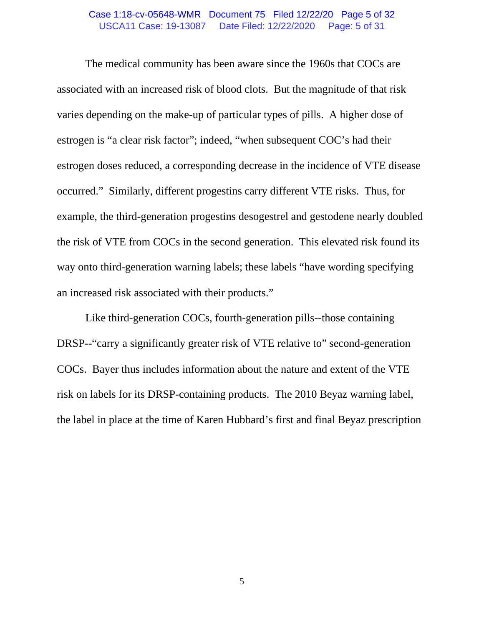#### USCA11 Case: 19-13087 Date Filed: 12/22/2020 Page: 5 of 31 Case 1:18-cv-05648-WMR Document 75 Filed 12/22/20 Page 5 of 32

The medical community has been aware since the 1960s that COCs are associated with an increased risk of blood clots. But the magnitude of that risk varies depending on the make-up of particular types of pills. A higher dose of estrogen is "a clear risk factor"; indeed, "when subsequent COC's had their estrogen doses reduced, a corresponding decrease in the incidence of VTE disease occurred." Similarly, different progestins carry different VTE risks. Thus, for example, the third-generation progestins desogestrel and gestodene nearly doubled the risk of VTE from COCs in the second generation. This elevated risk found its way onto third-generation warning labels; these labels "have wording specifying an increased risk associated with their products."

Like third-generation COCs, fourth-generation pills--those containing DRSP--"carry a significantly greater risk of VTE relative to" second-generation COCs. Bayer thus includes information about the nature and extent of the VTE risk on labels for its DRSP-containing products. The 2010 Beyaz warning label, the label in place at the time of Karen Hubbard's first and final Beyaz prescription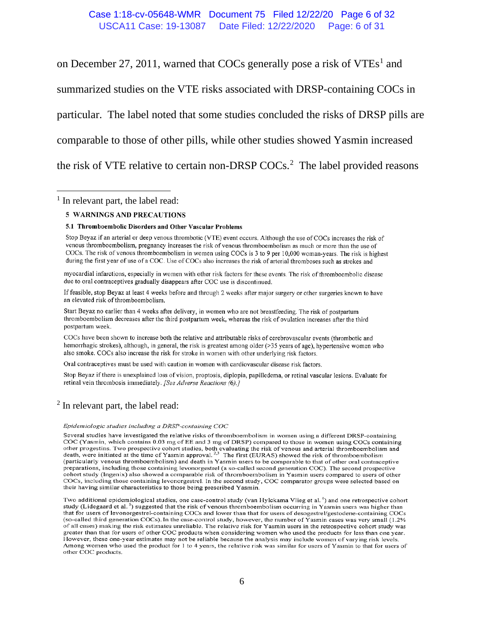#### USCA11 Case: 19-13087 Date Filed: 12/22/2020 Page: 6 of 31 Case 1:18-cv-05648-WMR Document 75 Filed 12/22/20 Page 6 of 32

on December 27, 20[1](#page-22-0)1, warned that COCs generally pose a risk of  $VTEs<sup>1</sup>$  and summarized studies on the VTE risks associated with DRSP-containing COCs in particular. The label noted that some studies concluded the risks of DRSP pills are comparable to those of other pills, while other studies showed Yasmin increased the risk of VTE relative to certain non-DRSP COCs.[2](#page-22-0) The label provided reasons

 $<sup>1</sup>$  In relevant part, the label read:</sup>

#### **5 WARNINGS AND PRECAUTIONS**

#### 5.1 Thromboembolic Disorders and Other Vascular Problems

Stop Beyaz if an arterial or deep venous thrombotic (VTE) event occurs. Although the use of COCs increases the risk of venous thromboembolism, pregnancy increases the risk of venous thromboembolism as much or more than the use of COCs. The risk of venous thromboembolism in women using COCs is 3 to 9 per 10,000 woman-years. The risk is highest during the first year of use of a COC. Use of COCs also increases the risk of arterial thromboses such as strokes and

myocardial infarctions, especially in women with other risk factors for these events. The risk of thromboembolic disease due to oral contraceptives gradually disappears after COC use is discontinued.

If feasible, stop Beyaz at least 4 weeks before and through 2 weeks after major surgery or other surgeries known to have an elevated risk of thromboembolism.

Start Beyaz no earlier than 4 weeks after delivery, in women who are not breastfeeding. The risk of postpartum thromboembolism decreases after the third postpartum week, whereas the risk of ovulation increases after the third postpartum week.

COCs have been shown to increase both the relative and attributable risks of cerebrovascular events (thrombotic and hemorrhagic strokes), although, in general, the risk is greatest among older (>35 years of age), hypertensive women who also smoke. COCs also increase the risk for stroke in women with other underlying risk factors.

Oral contraceptives must be used with caution in women with cardiovascular disease risk factors.

Stop Beyaz if there is unexplained loss of vision, proptosis, diplopia, papilledema, or retinal vascular lesions. Evaluate for retinal vein thrombosis immediately. [See Adverse Reactions (6).]

#### <sup>2</sup> In relevant part, the label read:

#### Epidemiologic studies including a DRSP-containing COC

Several studies have investigated the relative risks of thromboembolism in women using a different DRSP-containing COC (Yasmin, which contains 0.03 mg of EE and 3 mg of DRSP) compared to those in women using COCs containing other progestins. Two prospective cohort studies, both evaluating the risk of venous and arterial thromboembolism and<br>death, were initiated at the time of Yasmin approval.<sup>2,3</sup> The first (EURAS) showed the risk of thromboe (particularly venous thromboembolism) and death in Yasmin users to be comparable to that of other oral contraceptive preparations, including those containing levonorgestrel (a so-called second generation COC). The second prospective cohort study (Ingenix) also showed a comparable risk of thromboembolism in Yasmin users compared to users of other COCs, including those containing levonorgestrel. In the second study, COC comparator groups were selected based on their having similar characteristics to those being prescribed Yasmin.

Two additional epidemiological studies, one case-control study (van Hylckama Vlieg et al.<sup>4</sup>) and one retrospective cohort study (Lidegaard et al.<sup>5</sup>) suggested that the risk of venous thromboembolism occurring in Yasmin users was higher than that for users of levonorgestrel-containing COCs and lower than that for users of desogestrel/gestodene-containing COCs (so-called third generation COCs). In the case-control study, however, the number of Yasmin cases was very small (1.2% of all cases) making the risk estimates unreliable. The relative risk for Yasmin users in the retrospective cohort study was greater than that for users of other COC products when considering women who used the products for less than one year. However, these one-year estimates may not be reliable because the analysis may include women of varying risk levels. Among women who used the product for 1 to 4 years, the relative risk was similar for users of Yasmin to that for users of other COC products.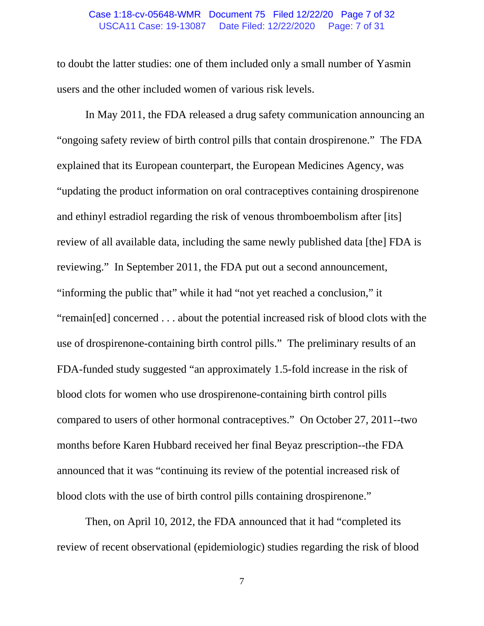#### USCA11 Case: 19-13087 Date Filed: 12/22/2020 Page: 7 of 31 Case 1:18-cv-05648-WMR Document 75 Filed 12/22/20 Page 7 of 32

to doubt the latter studies: one of them included only a small number of Yasmin users and the other included women of various risk levels.

In May 2011, the FDA released a drug safety communication announcing an "ongoing safety review of birth control pills that contain drospirenone." The FDA explained that its European counterpart, the European Medicines Agency, was "updating the product information on oral contraceptives containing drospirenone and ethinyl estradiol regarding the risk of venous thromboembolism after [its] review of all available data, including the same newly published data [the] FDA is reviewing." In September 2011, the FDA put out a second announcement, "informing the public that" while it had "not yet reached a conclusion," it "remain[ed] concerned . . . about the potential increased risk of blood clots with the use of drospirenone-containing birth control pills." The preliminary results of an FDA-funded study suggested "an approximately 1.5-fold increase in the risk of blood clots for women who use drospirenone-containing birth control pills compared to users of other hormonal contraceptives." On October 27, 2011--two months before Karen Hubbard received her final Beyaz prescription--the FDA announced that it was "continuing its review of the potential increased risk of blood clots with the use of birth control pills containing drospirenone."

Then, on April 10, 2012, the FDA announced that it had "completed its review of recent observational (epidemiologic) studies regarding the risk of blood

7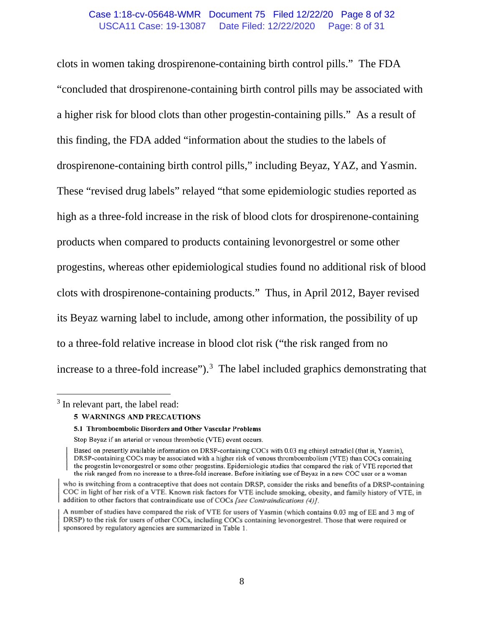#### USCA11 Case: 19-13087 Date Filed: 12/22/2020 Page: 8 of 31 Case 1:18-cv-05648-WMR Document 75 Filed 12/22/20 Page 8 of 32

clots in women taking drospirenone-containing birth control pills." The FDA "concluded that drospirenone-containing birth control pills may be associated with a higher risk for blood clots than other progestin-containing pills." As a result of this finding, the FDA added "information about the studies to the labels of drospirenone-containing birth control pills," including Beyaz, YAZ, and Yasmin. These "revised drug labels" relayed "that some epidemiologic studies reported as high as a three-fold increase in the risk of blood clots for drospirenone-containing products when compared to products containing levonorgestrel or some other progestins, whereas other epidemiological studies found no additional risk of blood clots with drospirenone-containing products." Thus, in April 2012, Bayer revised its Beyaz warning label to include, among other information, the possibility of up to a three-fold relative increase in blood clot risk ("the risk ranged from no increase to a three-fold increase").<sup>[3](#page-22-0)</sup> The label included graphics demonstrating that

<sup>3</sup> In relevant part, the label read:

<sup>5</sup> WARNINGS AND PRECAUTIONS

<sup>5.1</sup> Thromboembolic Disorders and Other Vascular Problems

Stop Beyaz if an arterial or venous thrombotic (VTE) event occurs.

Based on presently available information on DRSP-containing COCs with 0.03 mg ethinyl estradiol (that is, Yasmin), DRSP-containing COCs may be associated with a higher risk of venous thromboembolism (VTE) than COCs containing the progestin levonorgestrel or some other progestins. Epidemiologic studies that compared the risk of VTE reported that the risk ranged from no increase to a three-fold increase. Before initiating use of Beyaz in a new COC user or a woman

who is switching from a contraceptive that does not contain DRSP, consider the risks and benefits of a DRSP-containing COC in light of her risk of a VTE. Known risk factors for VTE include smoking, obesity, and family history of VTE, in addition to other factors that contraindicate use of COCs [see Contraindications (4)].

A number of studies have compared the risk of VTE for users of Yasmin (which contains 0.03 mg of EE and 3 mg of DRSP) to the risk for users of other COCs, including COCs containing levonorgestrel. Those that were required or sponsored by regulatory agencies are summarized in Table 1.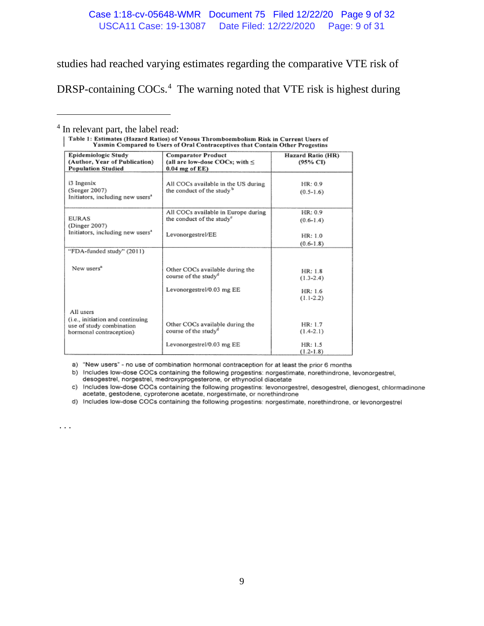### USCA11 Case: 19-13087 Date Filed: 12/22/2020 Page: 9 of 31 Case 1:18-cv-05648-WMR Document 75 Filed 12/22/20 Page 9 of 32

studies had reached varying estimates regarding the comparative VTE risk of

DRSP-containing COCs.<sup>[4](#page-22-0)</sup> The warning noted that VTE risk is highest during

| Epidemiologic Study                                          | <b>Comparator Product</b>             | Hazard Ratio (HR) |
|--------------------------------------------------------------|---------------------------------------|-------------------|
| (Author, Year of Publication)                                | (all are low-dose COCs; with $\leq$   | (95% CI)          |
| <b>Population Studied</b>                                    | $0.04$ mg of $EE$ )                   |                   |
|                                                              |                                       |                   |
| i3 Ingenix                                                   | All COCs available in the US during   | HR: 0.9           |
| (Seeger 2007)                                                | the conduct of the study <sup>b</sup> | $(0.5-1.6)$       |
| Initiators, including new users <sup>®</sup>                 |                                       |                   |
|                                                              |                                       |                   |
|                                                              | All COCs available in Europe during   | HR: 0.9           |
| <b>EURAS</b>                                                 | the conduct of the study <sup>o</sup> | $(0.6-1.4)$       |
| (Dinger 2007)                                                |                                       |                   |
| Initiators, including new users <sup>*</sup>                 | Levonorgestrel/EE                     | HR: 1.0           |
|                                                              |                                       |                   |
|                                                              |                                       | $(0.6-1.8)$       |
| "FDA-funded study" (2011)                                    |                                       |                   |
|                                                              |                                       |                   |
| New users <sup>a</sup>                                       | Other COCs available during the       | HR: 1.8           |
|                                                              | course of the study <sup>d</sup>      |                   |
|                                                              |                                       | $(1.3 - 2.4)$     |
|                                                              | Levonorgestrel/0.03 mg EE             | HR: 1.6           |
|                                                              |                                       | $(1.1-2.2)$       |
|                                                              |                                       |                   |
| All users                                                    |                                       |                   |
|                                                              |                                       |                   |
| (i.e., initiation and continuing<br>use of study combination | Other COCs available during the       | HR: 1.7           |
| hormonal contraception)                                      | course of the study <sup>d</sup>      | $(1.4-2.1)$       |
|                                                              |                                       |                   |
|                                                              | Levonorgestrel/0.03 mg EE             | HR: 1.5           |
|                                                              |                                       | $(1.2 - 1.8)$     |

 $\frac{4}{1}$  In relevant part, the label read:<br>| Table 1: Estimates (Hazard Ratios) of Venous Thromboembolism Risk in Current Users of<br>| Table 1: Estimates (Hazard Ratios) of Venous Thromboembolism Risk in Current Users of

a) "New users" - no use of combination hormonal contraception for at least the prior 6 months

b) Includes low-dose COCs containing the following progestins: norgestimate, norethindrone, levonorgestrel, desogestrel, norgestrel, medroxyprogesterone, or ethynodiol diacetate

c) Includes low-dose COCs containing the following progestins: levonorgestrel, desogestrel, dienogest, chlormadinone acetate, gestodene, cyproterone acetate, norgestimate, or norethindrone

d) Includes low-dose COCs containing the following progestins: norgestimate, norethindrone, or levonorgestrel

. . .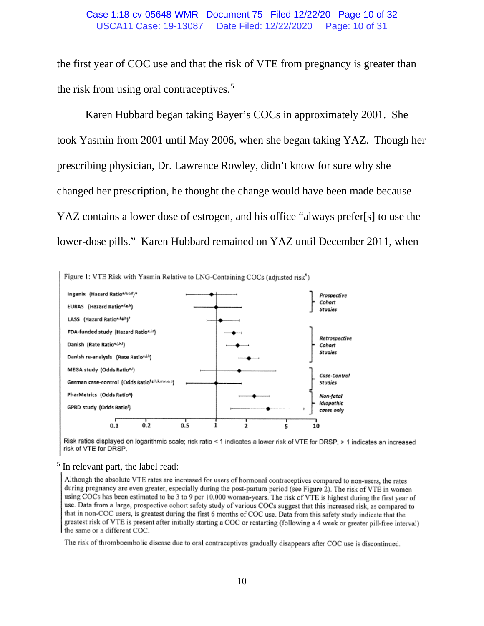#### USCA11 Case: 19-13087 Date Filed: 12/22/2020 Page: 10 of 31 Case 1:18-cv-05648-WMR Document 75 Filed 12/22/20 Page 10 of 32

the first year of COC use and that the risk of VTE from pregnancy is greater than the risk from using oral contraceptives.<sup>[5](#page-22-0)</sup>

Karen Hubbard began taking Bayer's COCs in approximately 2001. She took Yasmin from 2001 until May 2006, when she began taking YAZ. Though her prescribing physician, Dr. Lawrence Rowley, didn't know for sure why she changed her prescription, he thought the change would have been made because YAZ contains a lower dose of estrogen, and his office "always prefer[s] to use the lower-dose pills." Karen Hubbard remained on YAZ until December 2011, when



Risk ratios displayed on logarithmic scale; risk ratio < 1 indicates a lower risk of VTE for DRSP, > 1 indicates an increased risk of VTE for DRSP.

#### <sup>5</sup> In relevant part, the label read:

Although the absolute VTE rates are increased for users of hormonal contraceptives compared to non-users, the rates during pregnancy are even greater, especially during the post-partum period (see Figure 2). The risk of VTE in women using COCs has been estimated to be 3 to 9 per 10,000 woman-years. The risk of VTE is highest during the first year of use. Data from a large, prospective cohort safety study of various COCs suggest that this increased risk, as compared to that in non-COC users, is greatest during the first 6 months of COC use. Data from this safety study indicate that the greatest risk of VTE is present after initially starting a COC or restarting (following a 4 week or greater pill-free interval) the same or a different COC.

The risk of thromboembolic disease due to oral contraceptives gradually disappears after COC use is discontinued.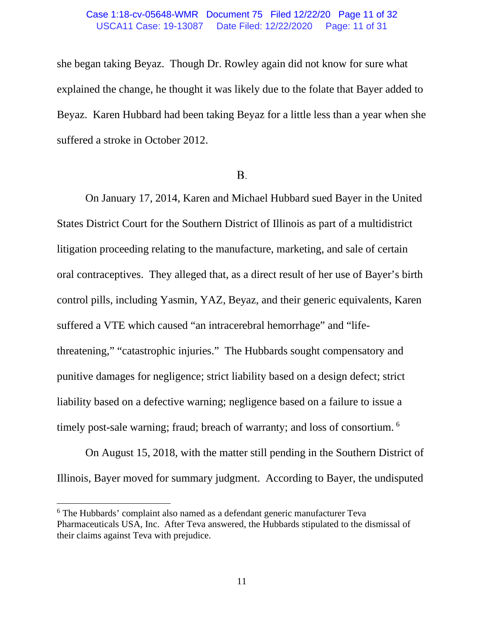#### USCA11 Case: 19-13087 Date Filed: 12/22/2020 Page: 11 of 31 Case 1:18-cv-05648-WMR Document 75 Filed 12/22/20 Page 11 of 32

she began taking Beyaz. Though Dr. Rowley again did not know for sure what explained the change, he thought it was likely due to the folate that Bayer added to Beyaz. Karen Hubbard had been taking Beyaz for a little less than a year when she suffered a stroke in October 2012.

## **B.**

On January 17, 2014, Karen and Michael Hubbard sued Bayer in the United States District Court for the Southern District of Illinois as part of a multidistrict litigation proceeding relating to the manufacture, marketing, and sale of certain oral contraceptives. They alleged that, as a direct result of her use of Bayer's birth control pills, including Yasmin, YAZ, Beyaz, and their generic equivalents, Karen suffered a VTE which caused "an intracerebral hemorrhage" and "lifethreatening," "catastrophic injuries." The Hubbards sought compensatory and punitive damages for negligence; strict liability based on a design defect; strict liability based on a defective warning; negligence based on a failure to issue a timely post-sale warning; fraud; breach of warranty; and loss of consortium. <sup>[6](#page-22-0)</sup>

On August 15, 2018, with the matter still pending in the Southern District of Illinois, Bayer moved for summary judgment. According to Bayer, the undisputed

<sup>6</sup> The Hubbards' complaint also named as a defendant generic manufacturer Teva Pharmaceuticals USA, Inc. After Teva answered, the Hubbards stipulated to the dismissal of their claims against Teva with prejudice.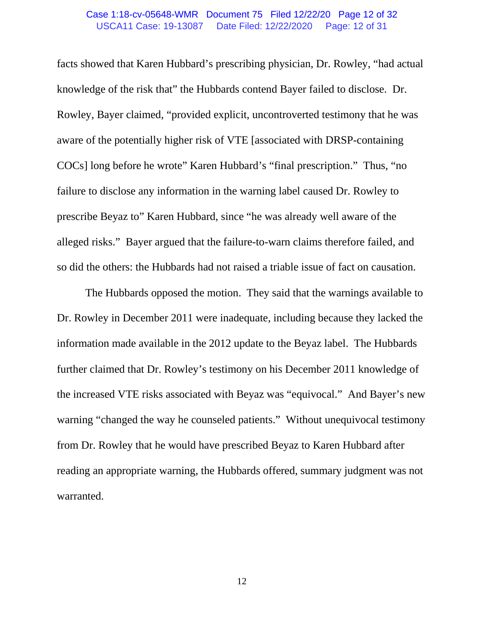#### USCA11 Case: 19-13087 Date Filed: 12/22/2020 Page: 12 of 31 Case 1:18-cv-05648-WMR Document 75 Filed 12/22/20 Page 12 of 32

facts showed that Karen Hubbard's prescribing physician, Dr. Rowley, "had actual knowledge of the risk that" the Hubbards contend Bayer failed to disclose. Dr. Rowley, Bayer claimed, "provided explicit, uncontroverted testimony that he was aware of the potentially higher risk of VTE [associated with DRSP-containing COCs] long before he wrote" Karen Hubbard's "final prescription." Thus, "no failure to disclose any information in the warning label caused Dr. Rowley to prescribe Beyaz to" Karen Hubbard, since "he was already well aware of the alleged risks." Bayer argued that the failure-to-warn claims therefore failed, and so did the others: the Hubbards had not raised a triable issue of fact on causation.

The Hubbards opposed the motion. They said that the warnings available to Dr. Rowley in December 2011 were inadequate, including because they lacked the information made available in the 2012 update to the Beyaz label. The Hubbards further claimed that Dr. Rowley's testimony on his December 2011 knowledge of the increased VTE risks associated with Beyaz was "equivocal." And Bayer's new warning "changed the way he counseled patients." Without unequivocal testimony from Dr. Rowley that he would have prescribed Beyaz to Karen Hubbard after reading an appropriate warning, the Hubbards offered, summary judgment was not warranted.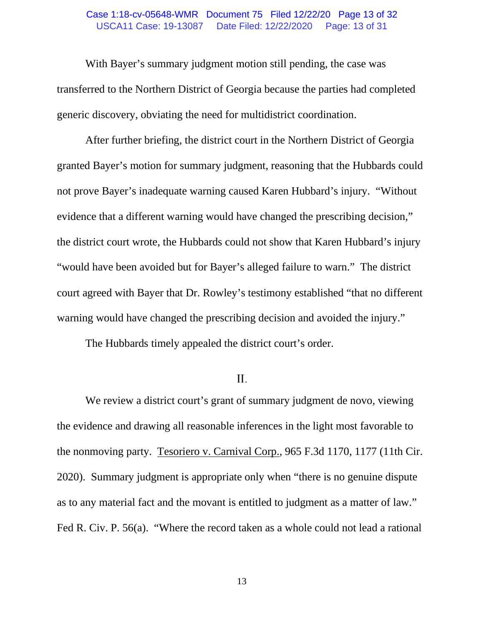#### USCA11 Case: 19-13087 Date Filed: 12/22/2020 Page: 13 of 31 Case 1:18-cv-05648-WMR Document 75 Filed 12/22/20 Page 13 of 32

With Bayer's summary judgment motion still pending, the case was transferred to the Northern District of Georgia because the parties had completed generic discovery, obviating the need for multidistrict coordination.

After further briefing, the district court in the Northern District of Georgia granted Bayer's motion for summary judgment, reasoning that the Hubbards could not prove Bayer's inadequate warning caused Karen Hubbard's injury. "Without evidence that a different warning would have changed the prescribing decision," the district court wrote, the Hubbards could not show that Karen Hubbard's injury "would have been avoided but for Bayer's alleged failure to warn." The district court agreed with Bayer that Dr. Rowley's testimony established "that no different warning would have changed the prescribing decision and avoided the injury."

The Hubbards timely appealed the district court's order.

### $II.$

We review a district court's grant of summary judgment de novo, viewing the evidence and drawing all reasonable inferences in the light most favorable to the nonmoving party. Tesoriero v. Carnival Corp., 965 F.3d 1170, 1177 (11th Cir. 2020). Summary judgment is appropriate only when "there is no genuine dispute as to any material fact and the movant is entitled to judgment as a matter of law." Fed R. Civ. P. 56(a). "Where the record taken as a whole could not lead a rational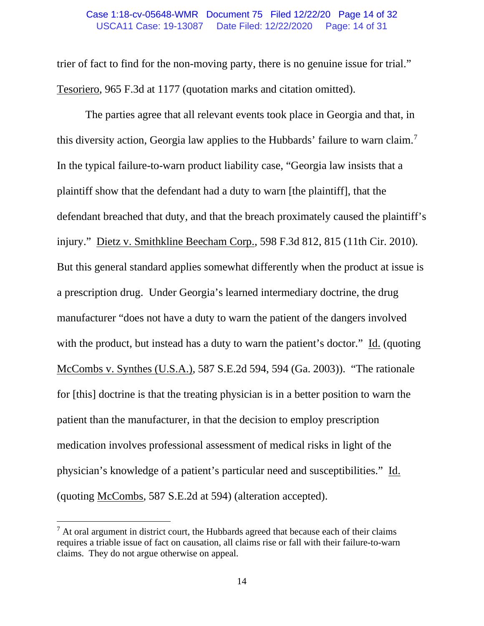#### USCA11 Case: 19-13087 Date Filed: 12/22/2020 Page: 14 of 31 Case 1:18-cv-05648-WMR Document 75 Filed 12/22/20 Page 14 of 32

trier of fact to find for the non-moving party, there is no genuine issue for trial." Tesoriero, 965 F.3d at 1177 (quotation marks and citation omitted).

The parties agree that all relevant events took place in Georgia and that, in this diversity action, Georgia law applies to the Hubbards' failure to warn claim.<sup>[7](#page-22-0)</sup> In the typical failure-to-warn product liability case, "Georgia law insists that a plaintiff show that the defendant had a duty to warn [the plaintiff], that the defendant breached that duty, and that the breach proximately caused the plaintiff's injury." Dietz v. Smithkline Beecham Corp., 598 F.3d 812, 815 (11th Cir. 2010). But this general standard applies somewhat differently when the product at issue is a prescription drug. Under Georgia's learned intermediary doctrine, the drug manufacturer "does not have a duty to warn the patient of the dangers involved with the product, but instead has a duty to warn the patient's doctor." Id. (quoting McCombs v. Synthes (U.S.A.), 587 S.E.2d 594, 594 (Ga. 2003)). "The rationale for [this] doctrine is that the treating physician is in a better position to warn the patient than the manufacturer, in that the decision to employ prescription medication involves professional assessment of medical risks in light of the physician's knowledge of a patient's particular need and susceptibilities." Id. (quoting McCombs, 587 S.E.2d at 594) (alteration accepted).

 $<sup>7</sup>$  At oral argument in district court, the Hubbards agreed that because each of their claims</sup> requires a triable issue of fact on causation, all claims rise or fall with their failure-to-warn claims. They do not argue otherwise on appeal.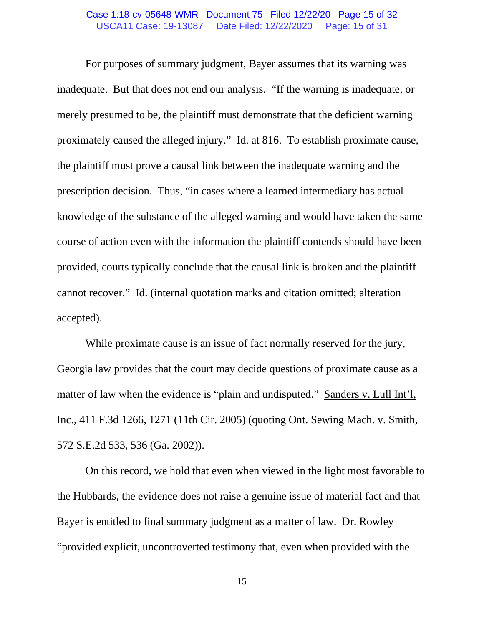#### USCA11 Case: 19-13087 Date Filed: 12/22/2020 Page: 15 of 31 Case 1:18-cv-05648-WMR Document 75 Filed 12/22/20 Page 15 of 32

For purposes of summary judgment, Bayer assumes that its warning was inadequate. But that does not end our analysis. "If the warning is inadequate, or merely presumed to be, the plaintiff must demonstrate that the deficient warning proximately caused the alleged injury." Id. at 816. To establish proximate cause, the plaintiff must prove a causal link between the inadequate warning and the prescription decision. Thus, "in cases where a learned intermediary has actual knowledge of the substance of the alleged warning and would have taken the same course of action even with the information the plaintiff contends should have been provided, courts typically conclude that the causal link is broken and the plaintiff cannot recover." Id. (internal quotation marks and citation omitted; alteration accepted).

While proximate cause is an issue of fact normally reserved for the jury, Georgia law provides that the court may decide questions of proximate cause as a matter of law when the evidence is "plain and undisputed." Sanders v. Lull Int'l, Inc., 411 F.3d 1266, 1271 (11th Cir. 2005) (quoting Ont. Sewing Mach. v. Smith, 572 S.E.2d 533, 536 (Ga. 2002)).

On this record, we hold that even when viewed in the light most favorable to the Hubbards, the evidence does not raise a genuine issue of material fact and that Bayer is entitled to final summary judgment as a matter of law. Dr. Rowley "provided explicit, uncontroverted testimony that, even when provided with the

15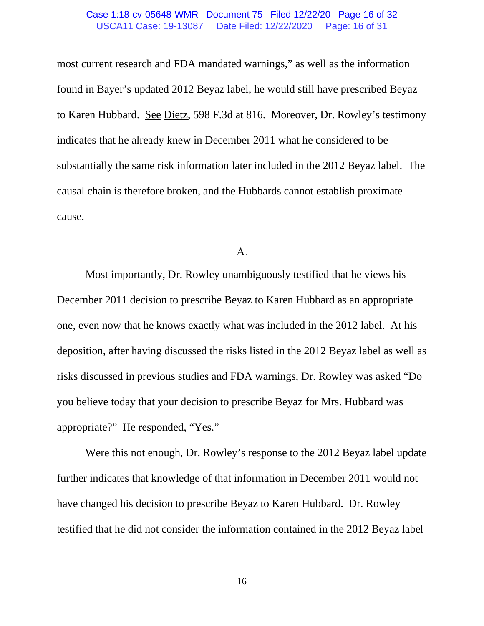#### USCA11 Case: 19-13087 Date Filed: 12/22/2020 Page: 16 of 31 Case 1:18-cv-05648-WMR Document 75 Filed 12/22/20 Page 16 of 32

most current research and FDA mandated warnings," as well as the information found in Bayer's updated 2012 Beyaz label, he would still have prescribed Beyaz to Karen Hubbard. See Dietz, 598 F.3d at 816. Moreover, Dr. Rowley's testimony indicates that he already knew in December 2011 what he considered to be substantially the same risk information later included in the 2012 Beyaz label. The causal chain is therefore broken, and the Hubbards cannot establish proximate cause.

#### А.

Most importantly, Dr. Rowley unambiguously testified that he views his December 2011 decision to prescribe Beyaz to Karen Hubbard as an appropriate one, even now that he knows exactly what was included in the 2012 label. At his deposition, after having discussed the risks listed in the 2012 Beyaz label as well as risks discussed in previous studies and FDA warnings, Dr. Rowley was asked "Do you believe today that your decision to prescribe Beyaz for Mrs. Hubbard was appropriate?" He responded, "Yes."

Were this not enough, Dr. Rowley's response to the 2012 Beyaz label update further indicates that knowledge of that information in December 2011 would not have changed his decision to prescribe Beyaz to Karen Hubbard. Dr. Rowley testified that he did not consider the information contained in the 2012 Beyaz label

16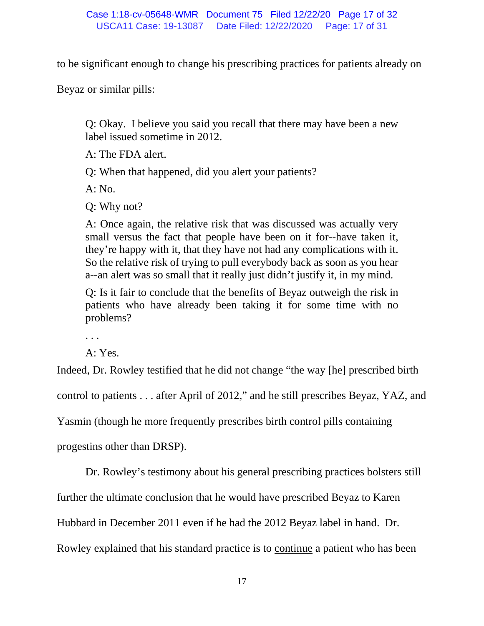to be significant enough to change his prescribing practices for patients already on

Beyaz or similar pills:

Q: Okay. I believe you said you recall that there may have been a new label issued sometime in 2012.

A: The FDA alert.

Q: When that happened, did you alert your patients?

A: No.

Q: Why not?

A: Once again, the relative risk that was discussed was actually very small versus the fact that people have been on it for--have taken it, they're happy with it, that they have not had any complications with it. So the relative risk of trying to pull everybody back as soon as you hear a--an alert was so small that it really just didn't justify it, in my mind.

Q: Is it fair to conclude that the benefits of Beyaz outweigh the risk in patients who have already been taking it for some time with no problems?

. . .

A: Yes.

Indeed, Dr. Rowley testified that he did not change "the way [he] prescribed birth

control to patients . . . after April of 2012," and he still prescribes Beyaz, YAZ, and

Yasmin (though he more frequently prescribes birth control pills containing

progestins other than DRSP).

Dr. Rowley's testimony about his general prescribing practices bolsters still

further the ultimate conclusion that he would have prescribed Beyaz to Karen

Hubbard in December 2011 even if he had the 2012 Beyaz label in hand. Dr.

Rowley explained that his standard practice is to continue a patient who has been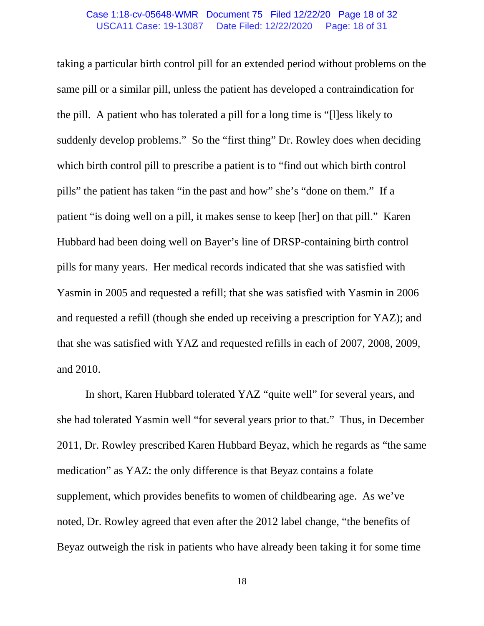#### USCA11 Case: 19-13087 Date Filed: 12/22/2020 Page: 18 of 31 Case 1:18-cv-05648-WMR Document 75 Filed 12/22/20 Page 18 of 32

taking a particular birth control pill for an extended period without problems on the same pill or a similar pill, unless the patient has developed a contraindication for the pill. A patient who has tolerated a pill for a long time is "[l]ess likely to suddenly develop problems." So the "first thing" Dr. Rowley does when deciding which birth control pill to prescribe a patient is to "find out which birth control pills" the patient has taken "in the past and how" she's "done on them." If a patient "is doing well on a pill, it makes sense to keep [her] on that pill." Karen Hubbard had been doing well on Bayer's line of DRSP-containing birth control pills for many years. Her medical records indicated that she was satisfied with Yasmin in 2005 and requested a refill; that she was satisfied with Yasmin in 2006 and requested a refill (though she ended up receiving a prescription for YAZ); and that she was satisfied with YAZ and requested refills in each of 2007, 2008, 2009, and 2010.

In short, Karen Hubbard tolerated YAZ "quite well" for several years, and she had tolerated Yasmin well "for several years prior to that." Thus, in December 2011, Dr. Rowley prescribed Karen Hubbard Beyaz, which he regards as "the same medication" as YAZ: the only difference is that Beyaz contains a folate supplement, which provides benefits to women of childbearing age. As we've noted, Dr. Rowley agreed that even after the 2012 label change, "the benefits of Beyaz outweigh the risk in patients who have already been taking it for some time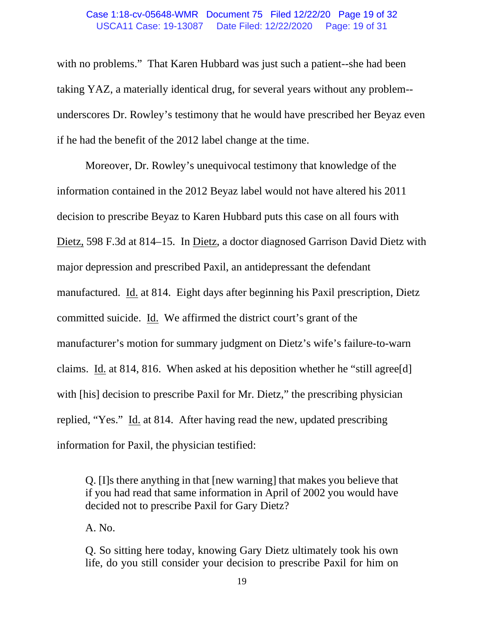#### USCA11 Case: 19-13087 Date Filed: 12/22/2020 Page: 19 of 31 Case 1:18-cv-05648-WMR Document 75 Filed 12/22/20 Page 19 of 32

with no problems." That Karen Hubbard was just such a patient--she had been taking YAZ, a materially identical drug, for several years without any problem- underscores Dr. Rowley's testimony that he would have prescribed her Beyaz even if he had the benefit of the 2012 label change at the time.

Moreover, Dr. Rowley's unequivocal testimony that knowledge of the information contained in the 2012 Beyaz label would not have altered his 2011 decision to prescribe Beyaz to Karen Hubbard puts this case on all fours with Dietz, 598 F.3d at 814–15. In Dietz, a doctor diagnosed Garrison David Dietz with major depression and prescribed Paxil, an antidepressant the defendant manufactured. Id. at 814. Eight days after beginning his Paxil prescription, Dietz committed suicide. Id. We affirmed the district court's grant of the manufacturer's motion for summary judgment on Dietz's wife's failure-to-warn claims. Id. at 814, 816. When asked at his deposition whether he "still agree[d] with [his] decision to prescribe Paxil for Mr. Dietz," the prescribing physician replied, "Yes." Id. at 814. After having read the new, updated prescribing information for Paxil, the physician testified:

Q. [I]s there anything in that [new warning] that makes you believe that if you had read that same information in April of 2002 you would have decided not to prescribe Paxil for Gary Dietz?

A. No.

Q. So sitting here today, knowing Gary Dietz ultimately took his own life, do you still consider your decision to prescribe Paxil for him on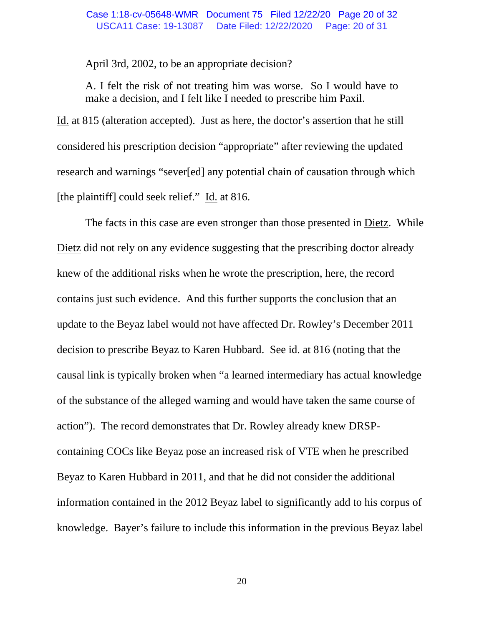#### USCA11 Case: 19-13087 Date Filed: 12/22/2020 Page: 20 of 31 Case 1:18-cv-05648-WMR Document 75 Filed 12/22/20 Page 20 of 32

April 3rd, 2002, to be an appropriate decision?

A. I felt the risk of not treating him was worse. So I would have to make a decision, and I felt like I needed to prescribe him Paxil.

Id. at 815 (alteration accepted). Just as here, the doctor's assertion that he still considered his prescription decision "appropriate" after reviewing the updated research and warnings "sever[ed] any potential chain of causation through which [the plaintiff] could seek relief." Id. at 816.

The facts in this case are even stronger than those presented in Dietz. While Dietz did not rely on any evidence suggesting that the prescribing doctor already knew of the additional risks when he wrote the prescription, here, the record contains just such evidence. And this further supports the conclusion that an update to the Beyaz label would not have affected Dr. Rowley's December 2011 decision to prescribe Beyaz to Karen Hubbard. See id. at 816 (noting that the causal link is typically broken when "a learned intermediary has actual knowledge of the substance of the alleged warning and would have taken the same course of action"). The record demonstrates that Dr. Rowley already knew DRSPcontaining COCs like Beyaz pose an increased risk of VTE when he prescribed Beyaz to Karen Hubbard in 2011, and that he did not consider the additional information contained in the 2012 Beyaz label to significantly add to his corpus of knowledge. Bayer's failure to include this information in the previous Beyaz label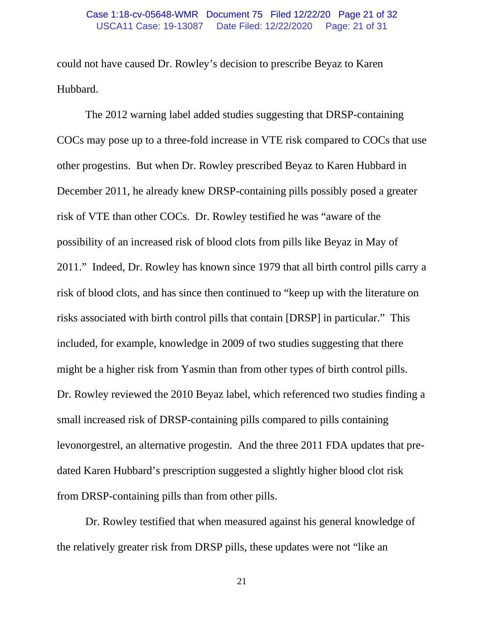#### USCA11 Case: 19-13087 Date Filed: 12/22/2020 Page: 21 of 31 Case 1:18-cv-05648-WMR Document 75 Filed 12/22/20 Page 21 of 32

could not have caused Dr. Rowley's decision to prescribe Beyaz to Karen Hubbard.

The 2012 warning label added studies suggesting that DRSP-containing COCs may pose up to a three-fold increase in VTE risk compared to COCs that use other progestins. But when Dr. Rowley prescribed Beyaz to Karen Hubbard in December 2011, he already knew DRSP-containing pills possibly posed a greater risk of VTE than other COCs. Dr. Rowley testified he was "aware of the possibility of an increased risk of blood clots from pills like Beyaz in May of 2011." Indeed, Dr. Rowley has known since 1979 that all birth control pills carry a risk of blood clots, and has since then continued to "keep up with the literature on risks associated with birth control pills that contain [DRSP] in particular." This included, for example, knowledge in 2009 of two studies suggesting that there might be a higher risk from Yasmin than from other types of birth control pills. Dr. Rowley reviewed the 2010 Beyaz label, which referenced two studies finding a small increased risk of DRSP-containing pills compared to pills containing levonorgestrel, an alternative progestin. And the three 2011 FDA updates that predated Karen Hubbard's prescription suggested a slightly higher blood clot risk from DRSP-containing pills than from other pills.

Dr. Rowley testified that when measured against his general knowledge of the relatively greater risk from DRSP pills, these updates were not "like an

21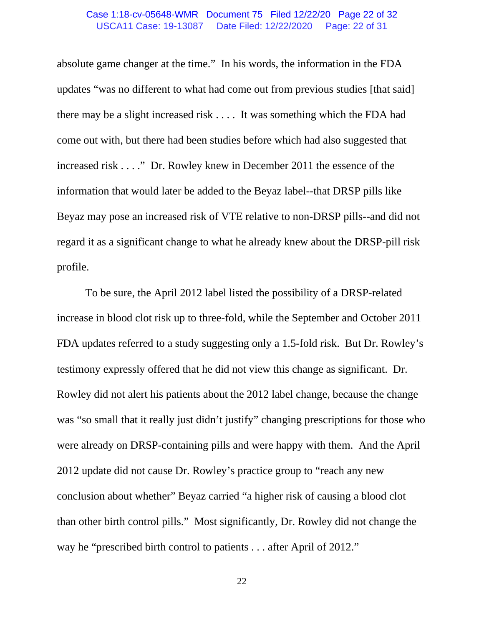#### USCA11 Case: 19-13087 Date Filed: 12/22/2020 Page: 22 of 31 Case 1:18-cv-05648-WMR Document 75 Filed 12/22/20 Page 22 of 32

absolute game changer at the time." In his words, the information in the FDA updates "was no different to what had come out from previous studies [that said] there may be a slight increased risk . . . . It was something which the FDA had come out with, but there had been studies before which had also suggested that increased risk . . . ." Dr. Rowley knew in December 2011 the essence of the information that would later be added to the Beyaz label--that DRSP pills like Beyaz may pose an increased risk of VTE relative to non-DRSP pills--and did not regard it as a significant change to what he already knew about the DRSP-pill risk profile.

To be sure, the April 2012 label listed the possibility of a DRSP-related increase in blood clot risk up to three-fold, while the September and October 2011 FDA updates referred to a study suggesting only a 1.5-fold risk. But Dr. Rowley's testimony expressly offered that he did not view this change as significant. Dr. Rowley did not alert his patients about the 2012 label change, because the change was "so small that it really just didn't justify" changing prescriptions for those who were already on DRSP-containing pills and were happy with them. And the April 2012 update did not cause Dr. Rowley's practice group to "reach any new conclusion about whether" Beyaz carried "a higher risk of causing a blood clot than other birth control pills." Most significantly, Dr. Rowley did not change the way he "prescribed birth control to patients . . . after April of 2012."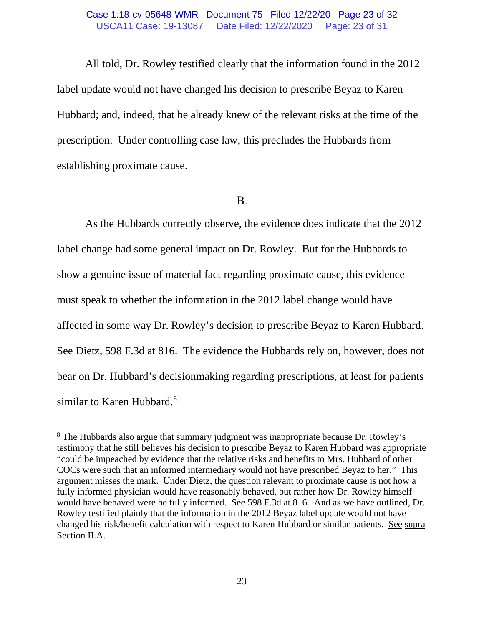#### USCA11 Case: 19-13087 Date Filed: 12/22/2020 Page: 23 of 31 Case 1:18-cv-05648-WMR Document 75 Filed 12/22/20 Page 23 of 32

All told, Dr. Rowley testified clearly that the information found in the 2012 label update would not have changed his decision to prescribe Beyaz to Karen Hubbard; and, indeed, that he already knew of the relevant risks at the time of the prescription. Under controlling case law, this precludes the Hubbards from establishing proximate cause.

## **B.**

As the Hubbards correctly observe, the evidence does indicate that the 2012 label change had some general impact on Dr. Rowley. But for the Hubbards to show a genuine issue of material fact regarding proximate cause, this evidence must speak to whether the information in the 2012 label change would have affected in some way Dr. Rowley's decision to prescribe Beyaz to Karen Hubbard. See Dietz, 598 F.3d at 816. The evidence the Hubbards rely on, however, does not bear on Dr. Hubbard's decisionmaking regarding prescriptions, at least for patients similar to Karen Hubbard.<sup>8</sup>

<span id="page-22-0"></span><sup>8</sup> The Hubbards also argue that summary judgment was inappropriate because Dr. Rowley's testimony that he still believes his decision to prescribe Beyaz to Karen Hubbard was appropriate "could be impeached by evidence that the relative risks and benefits to Mrs. Hubbard of other COCs were such that an informed intermediary would not have prescribed Beyaz to her." This argument misses the mark. Under Dietz, the question relevant to proximate cause is not how a fully informed physician would have reasonably behaved, but rather how Dr. Rowley himself would have behaved were he fully informed. See 598 F.3d at 816. And as we have outlined, Dr. Rowley testified plainly that the information in the 2012 Beyaz label update would not have changed his risk/benefit calculation with respect to Karen Hubbard or similar patients. See supra Section II.A.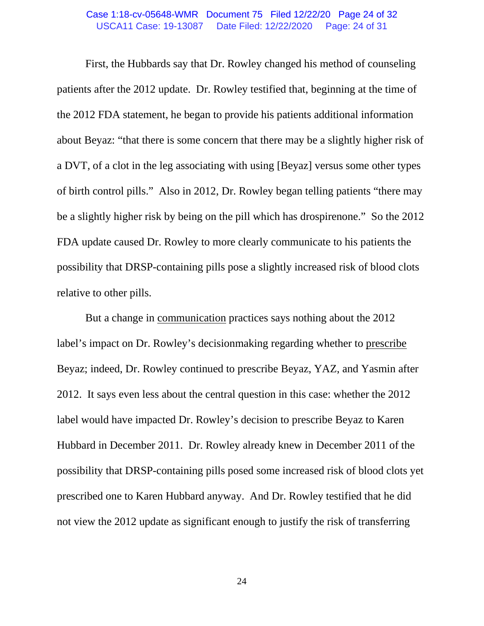#### USCA11 Case: 19-13087 Date Filed: 12/22/2020 Page: 24 of 31 Case 1:18-cv-05648-WMR Document 75 Filed 12/22/20 Page 24 of 32

First, the Hubbards say that Dr. Rowley changed his method of counseling patients after the 2012 update. Dr. Rowley testified that, beginning at the time of the 2012 FDA statement, he began to provide his patients additional information about Beyaz: "that there is some concern that there may be a slightly higher risk of a DVT, of a clot in the leg associating with using [Beyaz] versus some other types of birth control pills." Also in 2012, Dr. Rowley began telling patients "there may be a slightly higher risk by being on the pill which has drospirenone." So the 2012 FDA update caused Dr. Rowley to more clearly communicate to his patients the possibility that DRSP-containing pills pose a slightly increased risk of blood clots relative to other pills.

But a change in communication practices says nothing about the 2012 label's impact on Dr. Rowley's decisionmaking regarding whether to prescribe Beyaz; indeed, Dr. Rowley continued to prescribe Beyaz, YAZ, and Yasmin after 2012. It says even less about the central question in this case: whether the 2012 label would have impacted Dr. Rowley's decision to prescribe Beyaz to Karen Hubbard in December 2011. Dr. Rowley already knew in December 2011 of the possibility that DRSP-containing pills posed some increased risk of blood clots yet prescribed one to Karen Hubbard anyway. And Dr. Rowley testified that he did not view the 2012 update as significant enough to justify the risk of transferring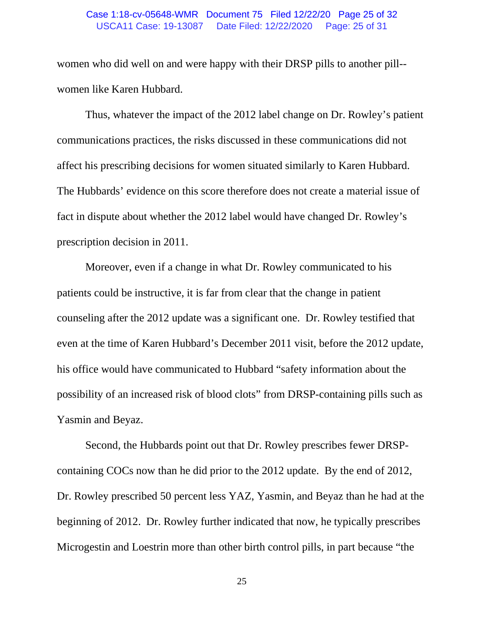#### USCA11 Case: 19-13087 Date Filed: 12/22/2020 Page: 25 of 31 Case 1:18-cv-05648-WMR Document 75 Filed 12/22/20 Page 25 of 32

women who did well on and were happy with their DRSP pills to another pill- women like Karen Hubbard.

Thus, whatever the impact of the 2012 label change on Dr. Rowley's patient communications practices, the risks discussed in these communications did not affect his prescribing decisions for women situated similarly to Karen Hubbard. The Hubbards' evidence on this score therefore does not create a material issue of fact in dispute about whether the 2012 label would have changed Dr. Rowley's prescription decision in 2011.

Moreover, even if a change in what Dr. Rowley communicated to his patients could be instructive, it is far from clear that the change in patient counseling after the 2012 update was a significant one. Dr. Rowley testified that even at the time of Karen Hubbard's December 2011 visit, before the 2012 update, his office would have communicated to Hubbard "safety information about the possibility of an increased risk of blood clots" from DRSP-containing pills such as Yasmin and Beyaz.

Second, the Hubbards point out that Dr. Rowley prescribes fewer DRSPcontaining COCs now than he did prior to the 2012 update. By the end of 2012, Dr. Rowley prescribed 50 percent less YAZ, Yasmin, and Beyaz than he had at the beginning of 2012. Dr. Rowley further indicated that now, he typically prescribes Microgestin and Loestrin more than other birth control pills, in part because "the

25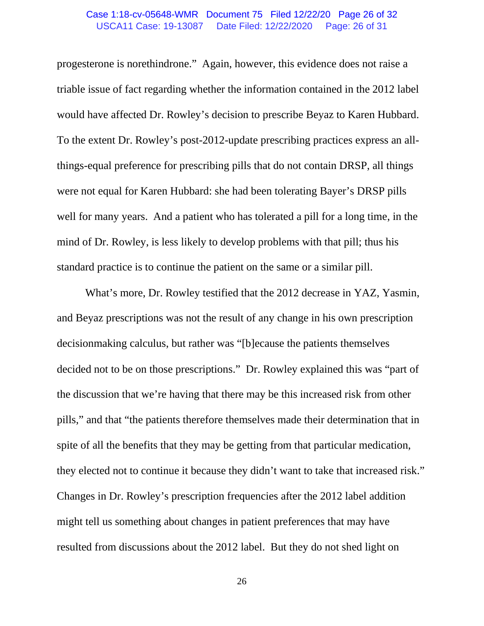#### USCA11 Case: 19-13087 Date Filed: 12/22/2020 Page: 26 of 31 Case 1:18-cv-05648-WMR Document 75 Filed 12/22/20 Page 26 of 32

progesterone is norethindrone." Again, however, this evidence does not raise a triable issue of fact regarding whether the information contained in the 2012 label would have affected Dr. Rowley's decision to prescribe Beyaz to Karen Hubbard. To the extent Dr. Rowley's post-2012-update prescribing practices express an allthings-equal preference for prescribing pills that do not contain DRSP, all things were not equal for Karen Hubbard: she had been tolerating Bayer's DRSP pills well for many years. And a patient who has tolerated a pill for a long time, in the mind of Dr. Rowley, is less likely to develop problems with that pill; thus his standard practice is to continue the patient on the same or a similar pill.

What's more, Dr. Rowley testified that the 2012 decrease in YAZ, Yasmin, and Beyaz prescriptions was not the result of any change in his own prescription decisionmaking calculus, but rather was "[b]ecause the patients themselves decided not to be on those prescriptions." Dr. Rowley explained this was "part of the discussion that we're having that there may be this increased risk from other pills," and that "the patients therefore themselves made their determination that in spite of all the benefits that they may be getting from that particular medication, they elected not to continue it because they didn't want to take that increased risk." Changes in Dr. Rowley's prescription frequencies after the 2012 label addition might tell us something about changes in patient preferences that may have resulted from discussions about the 2012 label. But they do not shed light on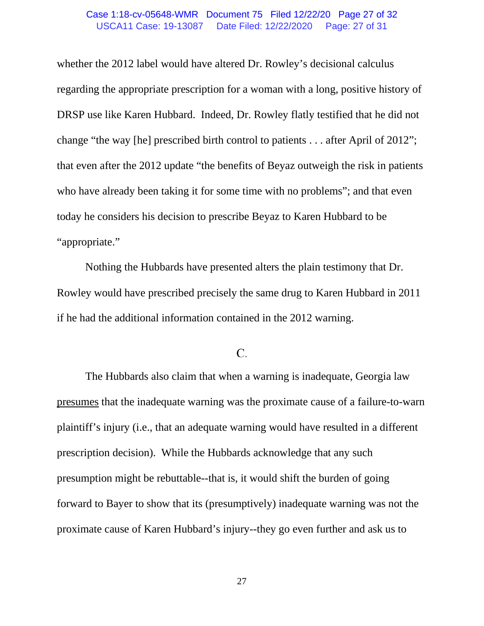#### USCA11 Case: 19-13087 Date Filed: 12/22/2020 Page: 27 of 31 Case 1:18-cv-05648-WMR Document 75 Filed 12/22/20 Page 27 of 32

whether the 2012 label would have altered Dr. Rowley's decisional calculus regarding the appropriate prescription for a woman with a long, positive history of DRSP use like Karen Hubbard. Indeed, Dr. Rowley flatly testified that he did not change "the way [he] prescribed birth control to patients . . . after April of 2012"; that even after the 2012 update "the benefits of Beyaz outweigh the risk in patients who have already been taking it for some time with no problems"; and that even today he considers his decision to prescribe Beyaz to Karen Hubbard to be "appropriate."

Nothing the Hubbards have presented alters the plain testimony that Dr. Rowley would have prescribed precisely the same drug to Karen Hubbard in 2011 if he had the additional information contained in the 2012 warning.

## $C$ .

The Hubbards also claim that when a warning is inadequate, Georgia law presumes that the inadequate warning was the proximate cause of a failure-to-warn plaintiff's injury (i.e., that an adequate warning would have resulted in a different prescription decision). While the Hubbards acknowledge that any such presumption might be rebuttable--that is, it would shift the burden of going forward to Bayer to show that its (presumptively) inadequate warning was not the proximate cause of Karen Hubbard's injury--they go even further and ask us to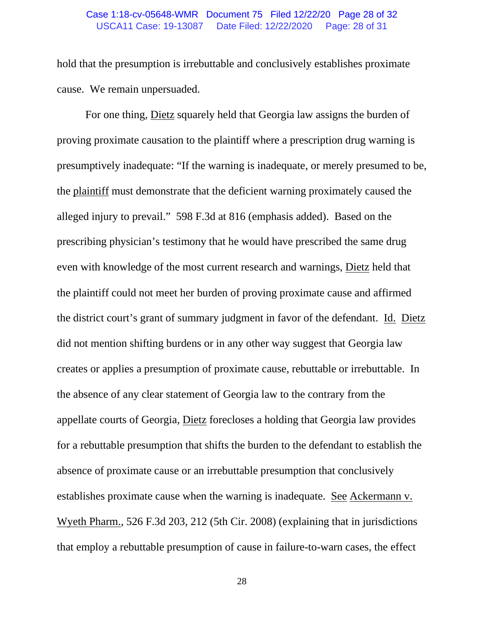#### USCA11 Case: 19-13087 Date Filed: 12/22/2020 Page: 28 of 31 Case 1:18-cv-05648-WMR Document 75 Filed 12/22/20 Page 28 of 32

hold that the presumption is irrebuttable and conclusively establishes proximate cause. We remain unpersuaded.

For one thing, Dietz squarely held that Georgia law assigns the burden of proving proximate causation to the plaintiff where a prescription drug warning is presumptively inadequate: "If the warning is inadequate, or merely presumed to be, the plaintiff must demonstrate that the deficient warning proximately caused the alleged injury to prevail." 598 F.3d at 816 (emphasis added). Based on the prescribing physician's testimony that he would have prescribed the same drug even with knowledge of the most current research and warnings, Dietz held that the plaintiff could not meet her burden of proving proximate cause and affirmed the district court's grant of summary judgment in favor of the defendant. Id. Dietz did not mention shifting burdens or in any other way suggest that Georgia law creates or applies a presumption of proximate cause, rebuttable or irrebuttable. In the absence of any clear statement of Georgia law to the contrary from the appellate courts of Georgia, Dietz forecloses a holding that Georgia law provides for a rebuttable presumption that shifts the burden to the defendant to establish the absence of proximate cause or an irrebuttable presumption that conclusively establishes proximate cause when the warning is inadequate. See Ackermann v. Wyeth Pharm., 526 F.3d 203, 212 (5th Cir. 2008) (explaining that in jurisdictions that employ a rebuttable presumption of cause in failure-to-warn cases, the effect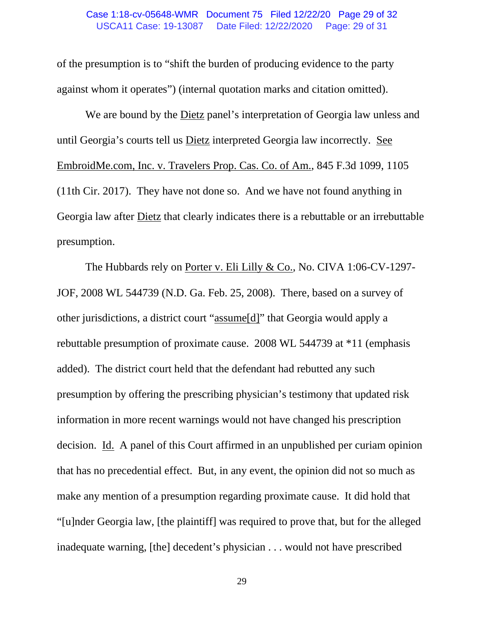#### USCA11 Case: 19-13087 Date Filed: 12/22/2020 Page: 29 of 31 Case 1:18-cv-05648-WMR Document 75 Filed 12/22/20 Page 29 of 32

of the presumption is to "shift the burden of producing evidence to the party against whom it operates") (internal quotation marks and citation omitted).

We are bound by the Dietz panel's interpretation of Georgia law unless and until Georgia's courts tell us Dietz interpreted Georgia law incorrectly. See EmbroidMe.com, Inc. v. Travelers Prop. Cas. Co. of Am., 845 F.3d 1099, 1105 (11th Cir. 2017). They have not done so. And we have not found anything in Georgia law after Dietz that clearly indicates there is a rebuttable or an irrebuttable presumption.

The Hubbards rely on Porter v. Eli Lilly & Co., No. CIVA 1:06-CV-1297- JOF, 2008 WL 544739 (N.D. Ga. Feb. 25, 2008). There, based on a survey of other jurisdictions, a district court "assume[d]" that Georgia would apply a rebuttable presumption of proximate cause. 2008 WL 544739 at \*11 (emphasis added). The district court held that the defendant had rebutted any such presumption by offering the prescribing physician's testimony that updated risk information in more recent warnings would not have changed his prescription decision. Id. A panel of this Court affirmed in an unpublished per curiam opinion that has no precedential effect. But, in any event, the opinion did not so much as make any mention of a presumption regarding proximate cause. It did hold that "[u]nder Georgia law, [the plaintiff] was required to prove that, but for the alleged inadequate warning, [the] decedent's physician . . . would not have prescribed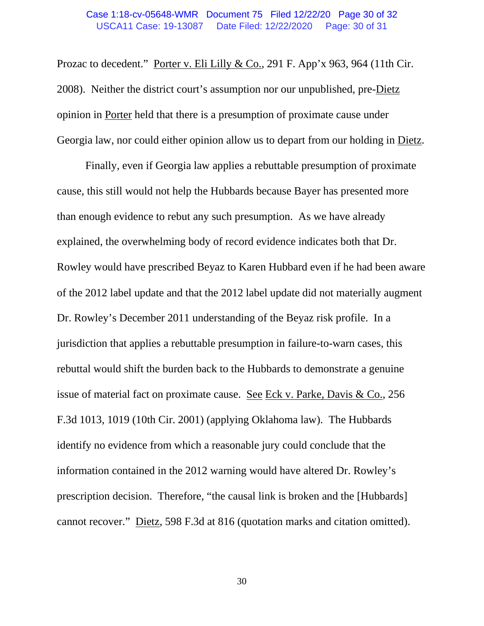#### USCA11 Case: 19-13087 Date Filed: 12/22/2020 Page: 30 of 31 Case 1:18-cv-05648-WMR Document 75 Filed 12/22/20 Page 30 of 32

Prozac to decedent." Porter v. Eli Lilly & Co., 291 F. App'x 963, 964 (11th Cir. 2008). Neither the district court's assumption nor our unpublished, pre-Dietz opinion in Porter held that there is a presumption of proximate cause under Georgia law, nor could either opinion allow us to depart from our holding in Dietz.

Finally, even if Georgia law applies a rebuttable presumption of proximate cause, this still would not help the Hubbards because Bayer has presented more than enough evidence to rebut any such presumption. As we have already explained, the overwhelming body of record evidence indicates both that Dr. Rowley would have prescribed Beyaz to Karen Hubbard even if he had been aware of the 2012 label update and that the 2012 label update did not materially augment Dr. Rowley's December 2011 understanding of the Beyaz risk profile. In a jurisdiction that applies a rebuttable presumption in failure-to-warn cases, this rebuttal would shift the burden back to the Hubbards to demonstrate a genuine issue of material fact on proximate cause. See Eck v. Parke, Davis & Co., 256 F.3d 1013, 1019 (10th Cir. 2001) (applying Oklahoma law). The Hubbards identify no evidence from which a reasonable jury could conclude that the information contained in the 2012 warning would have altered Dr. Rowley's prescription decision. Therefore, "the causal link is broken and the [Hubbards] cannot recover." Dietz, 598 F.3d at 816 (quotation marks and citation omitted).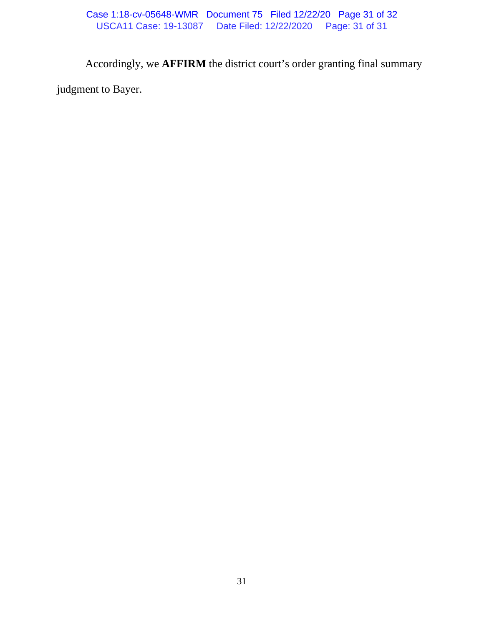Accordingly, we **AFFIRM** the district court's order granting final summary

judgment to Bayer.